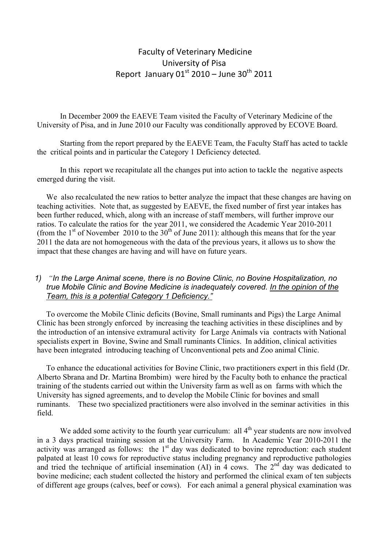# Faculty of Veterinary Medicine University of Pisa Report January  $01^{\text{st}}$  2010 – June 30<sup>th</sup> 2011

In December 2009 the EAEVE Team visited the Faculty of Veterinary Medicine of the University of Pisa, and in June 2010 our Faculty was conditionally approved by ECOVE Board.

Starting from the report prepared by the EAEVE Team, the Faculty Staff has acted to tackle the critical points and in particular the Category 1 Deficiency detected.

In this report we recapitulate all the changes put into action to tackle the negative aspects emerged during the visit.

We also recalculated the new ratios to better analyze the impact that these changes are having on teaching activities. Note that, as suggested by EAEVE, the fixed number of first year intakes has been further reduced, which, along with an increase of staff members, will further improve our ratios. To calculate the ratios for the year 2011, we considered the Academic Year 2010-2011 (from the  $1<sup>st</sup>$  of November 2010 to the 30<sup>th</sup> of June 2011): although this means that for the year 2011 the data are not homogeneous with the data of the previous years, it allows us to show the impact that these changes are having and will have on future years.

# *1) "In the Large Animal scene, there is no Bovine Clinic, no Bovine Hospitalization, no true Mobile Clinic and Bovine Medicine is inadequately covered. In the opinion of the Team, this is a potential Category 1 Deficiency."*

To overcome the Mobile Clinic deficits (Bovine, Small ruminants and Pigs) the Large Animal Clinic has been strongly enforced by increasing the teaching activities in these disciplines and by the introduction of an intensive extramural activity for Large Animals via contracts with National specialists expert in Bovine, Swine and Small ruminants Clinics. In addition, clinical activities have been integrated introducing teaching of Unconventional pets and Zoo animal Clinic.

To enhance the educational activities for Bovine Clinic, two practitioners expert in this field (Dr. Alberto Sbrana and Dr. Martina Brombim) were hired by the Faculty both to enhance the practical training of the students carried out within the University farm as well as on farms with which the University has signed agreements, and to develop the Mobile Clinic for bovines and small ruminants. These two specialized practitioners were also involved in the seminar activities in this field.

We added some activity to the fourth year curriculum: all  $4<sup>th</sup>$  year students are now involved in a 3 days practical training session at the University Farm. In Academic Year 2010-2011 the activity was arranged as follows: the  $1<sup>st</sup>$  day was dedicated to bovine reproduction: each student palpated at least 10 cows for reproductive status including pregnancy and reproductive pathologies and tried the technique of artificial insemination (AI) in 4 cows. The  $2<sup>nd</sup>$  day was dedicated to bovine medicine; each student collected the history and performed the clinical exam of ten subjects of different age groups (calves, beef or cows). For each animal a general physical examination was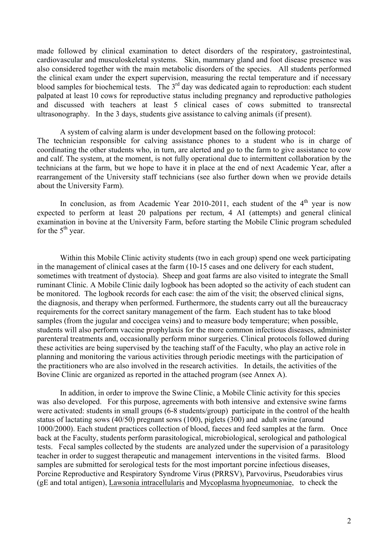made followed by clinical examination to detect disorders of the respiratory, gastrointestinal, cardiovascular and musculoskeletal systems. Skin, mammary gland and foot disease presence was also considered together with the main metabolic disorders of the species. All students performed the clinical exam under the expert supervision, measuring the rectal temperature and if necessary blood samples for biochemical tests. The  $3<sup>rd</sup>$  day was dedicated again to reproduction: each student palpated at least 10 cows for reproductive status including pregnancy and reproductive pathologies and discussed with teachers at least 5 clinical cases of cows submitted to transrectal ultrasonography. In the 3 days, students give assistance to calving animals (if present).

 A system of calving alarm is under development based on the following protocol: The technician responsible for calving assistance phones to a student who is in charge of coordinating the other students who, in turn, are alerted and go to the farm to give assistance to cow and calf. The system, at the moment, is not fully operational due to intermittent collaboration by the technicians at the farm, but we hope to have it in place at the end of next Academic Year, after a rearrangement of the University staff technicians (see also further down when we provide details about the University Farm).

In conclusion, as from Academic Year 2010-2011, each student of the  $4<sup>th</sup>$  year is now expected to perform at least 20 palpations per rectum, 4 AI (attempts) and general clinical examination in bovine at the University Farm, before starting the Mobile Clinic program scheduled for the  $5<sup>th</sup>$  year.

Within this Mobile Clinic activity students (two in each group) spend one week participating in the management of clinical cases at the farm (10-15 cases and one delivery for each student, sometimes with treatment of dystocia). Sheep and goat farms are also visited to integrate the Small ruminant Clinic. A Mobile Clinic daily logbook has been adopted so the activity of each student can be monitored. The logbook records for each case: the aim of the visit; the observed clinical signs, the diagnosis, and therapy when performed. Furthermore, the students carry out all the bureaucracy requirements for the correct sanitary management of the farm. Each student has to take blood samples (from the jugular and coccigea veins) and to measure body temperature; when possible, students will also perform vaccine prophylaxis for the more common infectious diseases, administer parenteral treatments and, occasionally perform minor surgeries. Clinical protocols followed during these activities are being supervised by the teaching staff of the Faculty, who play an active role in planning and monitoring the various activities through periodic meetings with the participation of the practitioners who are also involved in the research activities. In details, the activities of the Bovine Clinic are organized as reported in the attached program (see Annex A).

In addition, in order to improve the Swine Clinic, a Mobile Clinic activity for this species was also developed. For this purpose, agreements with both intensive and extensive swine farms were activated: students in small groups (6-8 students/group) participate in the control of the health status of lactating sows (40/50) pregnant sows (100), piglets (300) and adult swine (around 1000/2000). Each student practices collection of blood, faeces and feed samples at the farm. Once back at the Faculty, students perform parasitological, microbiological, serological and pathological tests. Fecal samples collected by the students are analyzed under the supervision of a parasitology teacher in order to suggest therapeutic and management interventions in the visited farms. Blood samples are submitted for serological tests for the most important porcine infectious diseases, Porcine Reproductive and Respiratory Syndrome Virus (PRRSV), Parvovirus, Pseudorabies virus (gE and total antigen), Lawsonia intracellularis and Mycoplasma hyopneumoniae, to check the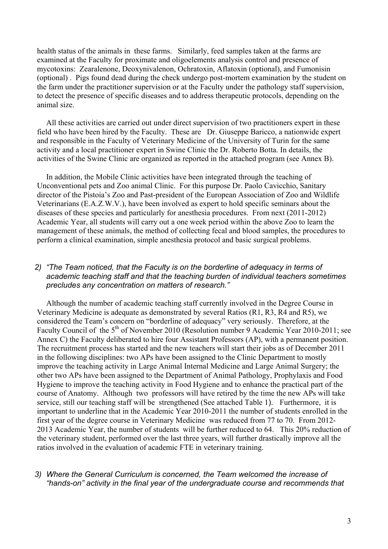health status of the animals in these farms. Similarly, feed samples taken at the farms are examined at the Faculty for proximate and oligoelements analysis control and presence of mycotoxins: Zearalenone, Deoxynivalenon, Ochratoxin, Aflatoxin (optional), and Fumonisin (optional) . Pigs found dead during the check undergo post-mortem examination by the student on the farm under the practitioner supervision or at the Faculty under the pathology staff supervision, to detect the presence of specific diseases and to address therapeutic protocols, depending on the animal size.

All these activities are carried out under direct supervision of two practitioners expert in these field who have been hired by the Faculty. These are Dr. Giuseppe Baricco, a nationwide expert and responsible in the Faculty of Veterinary Medicine of the University of Turin for the same activity and a local practitioner expert in Swine Clinic the Dr. Roberto Botta. In details, the activities of the Swine Clinic are organized as reported in the attached program (see Annex B).

In addition, the Mobile Clinic activities have been integrated through the teaching of Unconventional pets and Zoo animal Clinic. For this purpose Dr. Paolo Cavicchio, Sanitary director of the Pistoia's Zoo and Past-president of the European Association of Zoo and Wildlife Veterinarians (E.A.Z.W.V.), have been involved as expert to hold specific seminars about the diseases of these species and particularly for anesthesia procedures. From next (2011-2012) Academic Year, all students will carry out a one week period within the above Zoo to learn the management of these animals, the method of collecting fecal and blood samples, the procedures to perform a clinical examination, simple anesthesia protocol and basic surgical problems.

# *2) "The Team noticed, that the Faculty is on the borderline of adequacy in terms of academic teaching staff and that the teaching burden of individual teachers sometimes precludes any concentration on matters of research."*

Although the number of academic teaching staff currently involved in the Degree Course in Veterinary Medicine is adequate as demonstrated by several Ratios (R1, R3, R4 and R5), we considered the Team's concern on "borderline of adequacy" very seriously. Therefore, at the Faculty Council of the 5<sup>th</sup> of November 2010 (Resolution number 9 Academic Year 2010-2011; see Annex C) the Faculty deliberated to hire four Assistant Professors (AP), with a permanent position. The recruitment process has started and the new teachers will start their jobs as of December 2011 in the following disciplines: two APs have been assigned to the Clinic Department to mostly improve the teaching activity in Large Animal Internal Medicine and Large Animal Surgery; the other two APs have been assigned to the Department of Animal Pathology, Prophylaxis and Food Hygiene to improve the teaching activity in Food Hygiene and to enhance the practical part of the course of Anatomy. Although two professors will have retired by the time the new APs will take service, still our teaching staff will be strengthened (See attached Table 1). Furthermore, it is important to underline that in the Academic Year 2010-2011 the number of students enrolled in the first year of the degree course in Veterinary Medicine was reduced from 77 to 70. From 2012- 2013 Academic Year, the number of students will be further reduced to 64. This 20% reduction of the veterinary student, performed over the last three years, will further drastically improve all the ratios involved in the evaluation of academic FTE in veterinary training.

# *3) Where the General Curriculum is concerned, the Team welcomed the increase of "hands-on" activity in the final year of the undergraduate course and recommends that*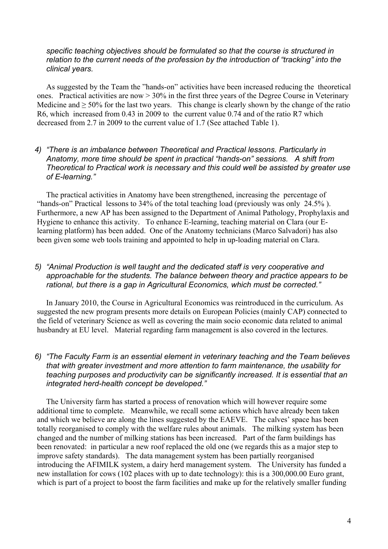#### *specific teaching objectives should be formulated so that the course is structured in relation to the current needs of the profession by the introduction of "tracking" into the clinical years.*

As suggested by the Team the "hands-on" activities have been increased reducing the theoretical ones. Practical activities are now > 30% in the first three years of the Degree Course in Veterinary Medicine and  $\geq$  50% for the last two years. This change is clearly shown by the change of the ratio R6, which increased from 0.43 in 2009 to the current value 0.74 and of the ratio R7 which decreased from 2.7 in 2009 to the current value of 1.7 (See attached Table 1).

# *4) "There is an imbalance between Theoretical and Practical lessons. Particularly in Anatomy, more time should be spent in practical "hands-on" sessions. A shift from Theoretical to Practical work is necessary and this could well be assisted by greater use of E-learning."*

The practical activities in Anatomy have been strengthened, increasing the percentage of "hands-on" Practical lessons to 34% of the total teaching load (previously was only 24.5% ). Furthermore, a new AP has been assigned to the Department of Animal Pathology, Prophylaxis and Hygiene to enhance this activity. To enhance E-learning, teaching material on Clara (our Elearning platform) has been added. One of the Anatomy technicians (Marco Salvadori) has also been given some web tools training and appointed to help in up-loading material on Clara.

# *5) "Animal Production is well taught and the dedicated staff is very cooperative and approachable for the students. The balance between theory and practice appears to be rational, but there is a gap in Agricultural Economics, which must be corrected."*

In January 2010, the Course in Agricultural Economics was reintroduced in the curriculum. As suggested the new program presents more details on European Policies (mainly CAP) connected to the field of veterinary Science as well as covering the main socio economic data related to animal husbandry at EU level. Material regarding farm management is also covered in the lectures.

# *6) "The Faculty Farm is an essential element in veterinary teaching and the Team believes that with greater investment and more attention to farm maintenance, the usability for teaching purposes and productivity can be significantly increased. It is essential that an integrated herd-health concept be developed."*

The University farm has started a process of renovation which will however require some additional time to complete. Meanwhile, we recall some actions which have already been taken and which we believe are along the lines suggested by the EAEVE. The calves' space has been totally reorganised to comply with the welfare rules about animals. The milking system has been changed and the number of milking stations has been increased. Part of the farm buildings has been renovated: in particular a new roof replaced the old one (we regards this as a major step to improve safety standards). The data management system has been partially reorganised introducing the AFIMILK system, a dairy herd management system. The University has funded a new installation for cows (102 places with up to date technology): this is a 300,000.00 Euro grant, which is part of a project to boost the farm facilities and make up for the relatively smaller funding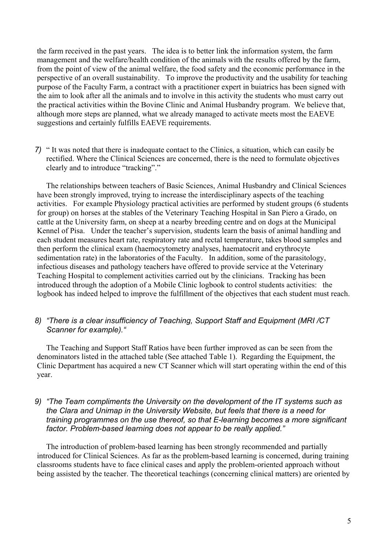the farm received in the past years. The idea is to better link the information system, the farm management and the welfare/health condition of the animals with the results offered by the farm, from the point of view of the animal welfare, the food safety and the economic performance in the perspective of an overall sustainability. To improve the productivity and the usability for teaching purpose of the Faculty Farm, a contract with a practitioner expert in buiatrics has been signed with the aim to look after all the animals and to involve in this activity the students who must carry out the practical activities within the Bovine Clinic and Animal Husbandry program. We believe that, although more steps are planned, what we already managed to activate meets most the EAEVE suggestions and certainly fulfills EAEVE requirements.

*7)* " It was noted that there is inadequate contact to the Clinics, a situation, which can easily be rectified. Where the Clinical Sciences are concerned, there is the need to formulate objectives clearly and to introduce "tracking"."

The relationships between teachers of Basic Sciences, Animal Husbandry and Clinical Sciences have been strongly improved, trying to increase the interdisciplinary aspects of the teaching activities. For example Physiology practical activities are performed by student groups (6 students for group) on horses at the stables of the Veterinary Teaching Hospital in San Piero a Grado, on cattle at the University farm, on sheep at a nearby breeding centre and on dogs at the Municipal Kennel of Pisa. Under the teacher's supervision, students learn the basis of animal handling and each student measures heart rate, respiratory rate and rectal temperature, takes blood samples and then perform the clinical exam (haemocytometry analyses, haematocrit and erythrocyte sedimentation rate) in the laboratories of the Faculty. In addition, some of the parasitology, infectious diseases and pathology teachers have offered to provide service at the Veterinary Teaching Hospital to complement activities carried out by the clinicians. Tracking has been introduced through the adoption of a Mobile Clinic logbook to control students activities: the logbook has indeed helped to improve the fulfillment of the objectives that each student must reach.

# *8) "There is a clear insufficiency of Teaching, Support Staff and Equipment (MRI /CT Scanner for example)."*

The Teaching and Support Staff Ratios have been further improved as can be seen from the denominators listed in the attached table (See attached Table 1). Regarding the Equipment, the Clinic Department has acquired a new CT Scanner which will start operating within the end of this year.

#### *9) "The Team compliments the University on the development of the IT systems such as the Clara and Unimap in the University Website, but feels that there is a need for training programmes on the use thereof, so that E-learning becomes a more significant factor. Problem-based learning does not appear to be really applied."*

The introduction of problem-based learning has been strongly recommended and partially introduced for Clinical Sciences. As far as the problem-based learning is concerned, during training classrooms students have to face clinical cases and apply the problem-oriented approach without being assisted by the teacher. The theoretical teachings (concerning clinical matters) are oriented by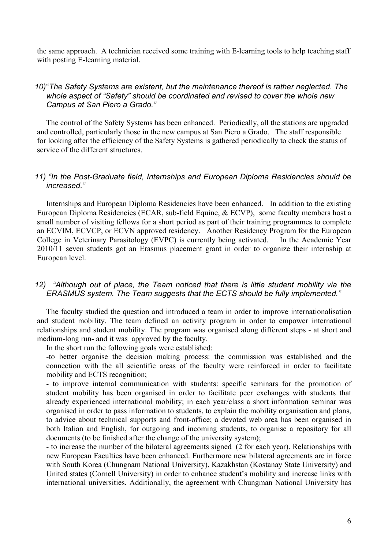the same approach. A technician received some training with E-learning tools to help teaching staff with posting E-learning material.

#### *10)* "*The Safety Systems are existent, but the maintenance thereof is rather neglected. The whole aspect of "Safety" should be coordinated and revised to cover the whole new Campus at San Piero a Grado."*

The control of the Safety Systems has been enhanced. Periodically, all the stations are upgraded and controlled, particularly those in the new campus at San Piero a Grado. The staff responsible for looking after the efficiency of the Safety Systems is gathered periodically to check the status of service of the different structures.

#### *11) "In the Post-Graduate field, Internships and European Diploma Residencies should be increased."*

Internships and European Diploma Residencies have been enhanced. In addition to the existing European Diploma Residencies (ECAR, sub-field Equine, & ECVP), some faculty members host a small number of visiting fellows for a short period as part of their training programmes to complete an ECVIM, ECVCP, or ECVN approved residency. Another Residency Program for the European College in Veterinary Parasitology (EVPC) is currently being activated. In the Academic Year 2010/11 seven students got an Erasmus placement grant in order to organize their internship at European level.

#### *12) "Although out of place, the Team noticed that there is little student mobility via the ERASMUS system. The Team suggests that the ECTS should be fully implemented."*

The faculty studied the question and introduced a team in order to improve internationalisation and student mobility. The team defined an activity program in order to empower international relationships and student mobility. The program was organised along different steps - at short and medium-long run- and it was approved by the faculty.

In the short run the following goals were established:

-to better organise the decision making process: the commission was established and the connection with the all scientific areas of the faculty were reinforced in order to facilitate mobility and ECTS recognition;

- to improve internal communication with students: specific seminars for the promotion of student mobility has been organised in order to facilitate peer exchanges with students that already experienced international mobility; in each year/class a short information seminar was organised in order to pass information to students, to explain the mobility organisation and plans, to advice about technical supports and front-office; a devoted web area has been organised in both Italian and English, for outgoing and incoming students, to organise a repository for all documents (to be finished after the change of the university system);

- to increase the number of the bilateral agreements signed (2 for each year). Relationships with new European Faculties have been enhanced. Furthermore new bilateral agreements are in force with South Korea (Chungnam National University), Kazakhstan (Kostanay State University) and United states (Cornell University) in order to enhance student's mobility and increase links with international universities. Additionally, the agreement with Chungman National University has